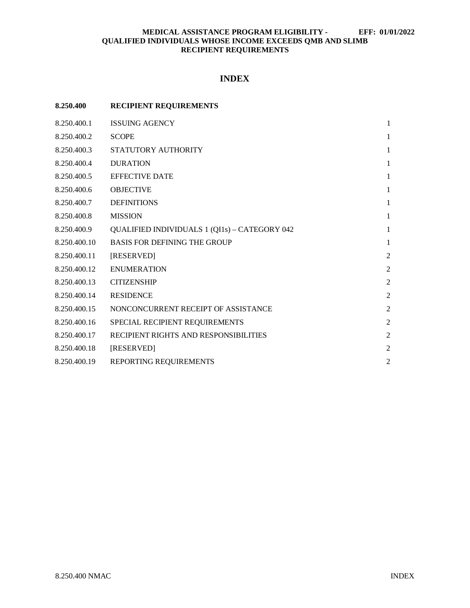# **INDEX**

| 8.250.400    | <b>RECIPIENT REQUIREMENTS</b>                        |                |
|--------------|------------------------------------------------------|----------------|
| 8.250.400.1  | <b>ISSUING AGENCY</b>                                | 1              |
| 8.250.400.2  | <b>SCOPE</b>                                         | 1              |
| 8.250.400.3  | STATUTORY AUTHORITY                                  | 1              |
| 8.250.400.4  | <b>DURATION</b>                                      | 1              |
| 8.250.400.5  | <b>EFFECTIVE DATE</b>                                | 1              |
| 8.250.400.6  | <b>OBJECTIVE</b>                                     | 1              |
| 8.250.400.7  | <b>DEFINITIONS</b>                                   | 1              |
| 8.250.400.8  | <b>MISSION</b>                                       | 1              |
| 8.250.400.9  | <b>QUALIFIED INDIVIDUALS 1 (QI1s) - CATEGORY 042</b> | 1              |
| 8.250.400.10 | <b>BASIS FOR DEFINING THE GROUP</b>                  | $\mathbf{1}$   |
| 8.250.400.11 | [RESERVED]                                           | $\overline{2}$ |
| 8.250.400.12 | <b>ENUMERATION</b>                                   | $\overline{2}$ |
| 8.250.400.13 | <b>CITIZENSHIP</b>                                   | $\overline{2}$ |
| 8.250.400.14 | <b>RESIDENCE</b>                                     | $\overline{2}$ |
| 8.250.400.15 | NONCONCURRENT RECEIPT OF ASSISTANCE                  | $\overline{2}$ |
| 8.250.400.16 | SPECIAL RECIPIENT REQUIREMENTS                       | $\overline{2}$ |
| 8.250.400.17 | RECIPIENT RIGHTS AND RESPONSIBILITIES                | $\overline{2}$ |
| 8.250.400.18 | [RESERVED]                                           | $\overline{2}$ |
| 8.250.400.19 | REPORTING REQUIREMENTS                               | $\overline{2}$ |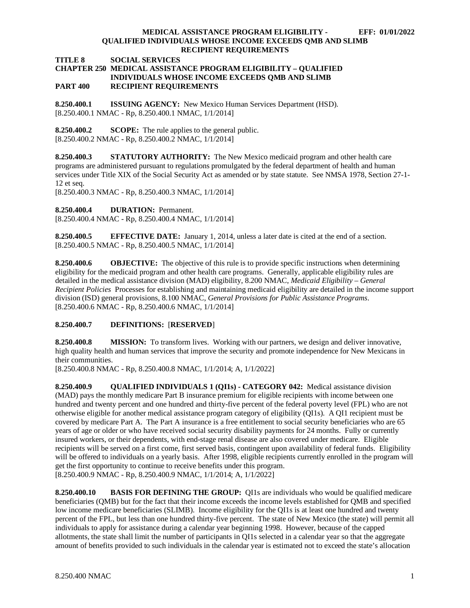**TITLE 8 SOCIAL SERVICES**

# **CHAPTER 250 MEDICAL ASSISTANCE PROGRAM ELIGIBILITY – QUALIFIED INDIVIDUALS WHOSE INCOME EXCEEDS QMB AND SLIMB PART 400 RECIPIENT REQUIREMENTS**

<span id="page-1-0"></span>**8.250.400.1 ISSUING AGENCY:** New Mexico Human Services Department (HSD). [8.250.400.1 NMAC - Rp, 8.250.400.1 NMAC, 1/1/2014]

<span id="page-1-1"></span>**8.250.400.2 SCOPE:** The rule applies to the general public. [8.250.400.2 NMAC - Rp, 8.250.400.2 NMAC, 1/1/2014]

<span id="page-1-2"></span>**8.250.400.3 STATUTORY AUTHORITY:** The New Mexico medicaid program and other health care programs are administered pursuant to regulations promulgated by the federal department of health and human services under Title XIX of the Social Security Act as amended or by state statute. See NMSA 1978, Section 27-1- 12 et seq.

[8.250.400.3 NMAC - Rp, 8.250.400.3 NMAC, 1/1/2014]

<span id="page-1-3"></span>**8.250.400.4 DURATION:** Permanent.

[8.250.400.4 NMAC - Rp, 8.250.400.4 NMAC, 1/1/2014]

<span id="page-1-4"></span>**8.250.400.5 EFFECTIVE DATE:** January 1, 2014, unless a later date is cited at the end of a section. [8.250.400.5 NMAC - Rp, 8.250.400.5 NMAC, 1/1/2014]

<span id="page-1-5"></span>**8.250.400.6 OBJECTIVE:** The objective of this rule is to provide specific instructions when determining eligibility for the medicaid program and other health care programs. Generally, applicable eligibility rules are detailed in the medical assistance division (MAD) eligibility, 8.200 NMAC, *Medicaid Eligibility – General Recipient Policies* Processes for establishing and maintaining medicaid eligibility are detailed in the income support division (ISD) general provisions, 8.100 NMAC, *General Provisions for Public Assistance Programs*. [8.250.400.6 NMAC - Rp, 8.250.400.6 NMAC, 1/1/2014]

# <span id="page-1-6"></span>**8.250.400.7 DEFINITIONS:** [**RESERVED**]

<span id="page-1-7"></span>**8.250.400.8 MISSION:** To transform lives. Working with our partners, we design and deliver innovative, high quality health and human services that improve the security and promote independence for New Mexicans in their communities.

[8.250.400.8 NMAC - Rp, 8.250.400.8 NMAC, 1/1/2014; A, 1/1/2022]

<span id="page-1-8"></span>**8.250.400.9 QUALIFIED INDIVIDUALS 1 (QI1s) - CATEGORY 042:** Medical assistance division (MAD) pays the monthly medicare Part B insurance premium for eligible recipients with income between one hundred and twenty percent and one hundred and thirty-five percent of the federal poverty level (FPL) who are not otherwise eligible for another medical assistance program category of eligibility (QI1s). A QI1 recipient must be covered by medicare Part A. The Part A insurance is a free entitlement to social security beneficiaries who are 65 years of age or older or who have received social security disability payments for 24 months. Fully or currently insured workers, or their dependents, with end-stage renal disease are also covered under medicare. Eligible recipients will be served on a first come, first served basis, contingent upon availability of federal funds. Eligibility will be offered to individuals on a yearly basis. After 1998, eligible recipients currently enrolled in the program will get the first opportunity to continue to receive benefits under this program. [8.250.400.9 NMAC - Rp, 8.250.400.9 NMAC, 1/1/2014; A, 1/1/2022]

<span id="page-1-9"></span>**8.250.400.10 BASIS FOR DEFINING THE GROUP:** QI1s are individuals who would be qualified medicare beneficiaries (QMB) but for the fact that their income exceeds the income levels established for QMB and specified low income medicare beneficiaries (SLIMB). Income eligibility for the QI1s is at least one hundred and twenty percent of the FPL, but less than one hundred thirty-five percent. The state of New Mexico (the state) will permit all individuals to apply for assistance during a calendar year beginning 1998. However, because of the capped allotments, the state shall limit the number of participants in QI1s selected in a calendar year so that the aggregate amount of benefits provided to such individuals in the calendar year is estimated not to exceed the state's allocation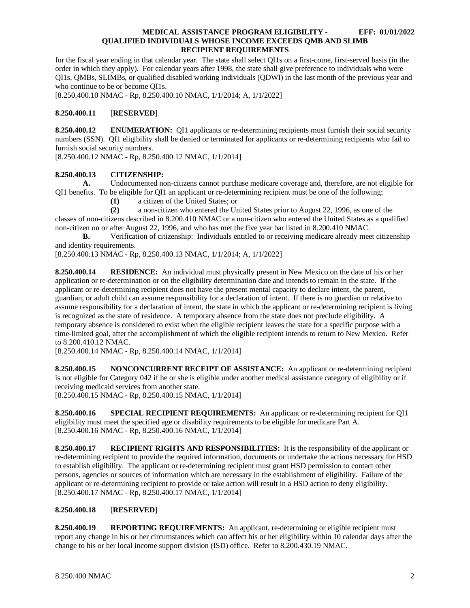for the fiscal year ending in that calendar year. The state shall select QI1s on a first-come, first-served basis (in the order in which they apply). For calendar years after 1998, the state shall give preference to individuals who were QI1s, QMBs, SLIMBs, or qualified disabled working individuals (QDWI) in the last month of the previous year and who continue to be or become QI1s.

[8.250.400.10 NMAC - Rp, 8.250.400.10 NMAC, 1/1/2014; A, 1/1/2022]

# <span id="page-2-0"></span>**8.250.400.11** [**RESERVED**]

<span id="page-2-1"></span>**8.250.400.12 ENUMERATION:** QI1 applicants or re-determining recipients must furnish their social security numbers (SSN). QI1 eligibility shall be denied or terminated for applicants or re-determining recipients who fail to furnish social security numbers.

[8.250.400.12 NMAC - Rp, 8.250.400.12 NMAC, 1/1/2014]

# <span id="page-2-2"></span>**8.250.400.13 CITIZENSHIP:**

**A.** Undocumented non-citizens cannot purchase medicare coverage and, therefore, are not eligible for QI1 benefits. To be eligible for QI1 an applicant or re-determining recipient must be one of the following:

**(1)** a citizen of the United States; or

**(2)** a non-citizen who entered the United States prior to August 22, 1996, as one of the

classes of non-citizens described in 8.200.410 NMAC or a non-citizen who entered the United States as a qualified non-citizen on or after August 22, 1996, and who has met the five year bar listed in 8.200.410 NMAC.

**B.** Verification of citizenship: Individuals entitled to or receiving medicare already meet citizenship and identity requirements.

[8.250.400.13 NMAC - Rp, 8.250.400.13 NMAC, 1/1/2014; A, 1/1/2022]

<span id="page-2-3"></span>**8.250.400.14 RESIDENCE:** An individual must physically present in New Mexico on the date of his or her application or re-determination or on the eligibility determination date and intends to remain in the state. If the applicant or re-determining recipient does not have the present mental capacity to declare intent, the parent, guardian, or adult child can assume responsibility for a declaration of intent. If there is no guardian or relative to assume responsibility for a declaration of intent, the state in which the applicant or re-determining recipient is living is recognized as the state of residence. A temporary absence from the state does not preclude eligibility. A temporary absence is considered to exist when the eligible recipient leaves the state for a specific purpose with a time-limited goal, after the accomplishment of which the eligible recipient intends to return to New Mexico. Refer to 8.200.410.12 NMAC.

[8.250.400.14 NMAC - Rp, 8.250.400.14 NMAC, 1/1/2014]

<span id="page-2-4"></span>**8.250.400.15 NONCONCURRENT RECEIPT OF ASSISTANCE:** An applicant or re-determining recipient is not eligible for Category 042 if he or she is eligible under another medical assistance category of eligibility or if receiving medicaid services from another state.

[8.250.400.15 NMAC - Rp, 8.250.400.15 NMAC, 1/1/2014]

<span id="page-2-5"></span>**8.250.400.16 SPECIAL RECIPIENT REQUIREMENTS:** An applicant or re-determining recipient for QI1 eligibility must meet the specified age or disability requirements to be eligible for medicare Part A. [8.250.400.16 NMAC - Rp, 8.250.400.16 NMAC, 1/1/2014]

<span id="page-2-6"></span>**8.250.400.17 RECIPIENT RIGHTS AND RESPONSIBILITIES:** It is the responsibility of the applicant or re-determining recipient to provide the required information, documents or undertake the actions necessary for HSD to establish eligibility. The applicant or re-determining recipient must grant HSD permission to contact other persons, agencies or sources of information which are necessary in the establishment of eligibility. Failure of the applicant or re-determining recipient to provide or take action will result in a HSD action to deny eligibility. [8.250.400.17 NMAC - Rp, 8.250.400.17 NMAC, 1/1/2014]

# <span id="page-2-7"></span>**8.250.400.18** [**RESERVED**]

<span id="page-2-8"></span>**8.250.400.19 REPORTING REQUIREMENTS:** An applicant, re-determining or eligible recipient must report any change in his or her circumstances which can affect his or her eligibility within 10 calendar days after the change to his or her local income support division (ISD) office. Refer to 8.200.430.19 NMAC.